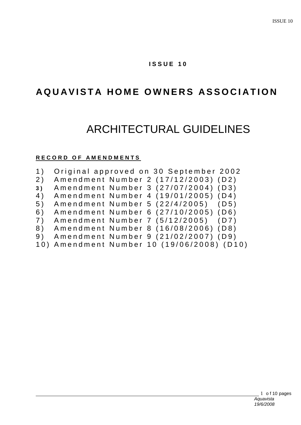## **I S S U E 1 0**

## **AQUAVISTA HOME OWNERS ASSOCIATION**

# ARCHITECTURAL GUIDELINES

## **R E C O R D O F A M E N D M E N T S**

| 1) |  | Original approved on 30 September 2002     |
|----|--|--------------------------------------------|
|    |  | 2) Amendment Number 2 (17/12/2003) (D2)    |
| 3) |  | Amendment Number 3 (27/07/2004) (D3)       |
|    |  | 4) Amendment Number 4 (19/01/2005) (D4)    |
|    |  | 5) Amendment Number 5 (22/4/2005) (D5)     |
| 6) |  | Amendment Number 6 (27/10/2005) (D6)       |
|    |  | 7) Amendment Number 7 (5/12/2005) (D7)     |
|    |  | 8) Amendment Number 8 (16/08/2006) (D8)    |
|    |  | 9) Amendment Number 9 (21/02/2007) (D9)    |
|    |  | 10) Amendment Number 10 (19/06/2008) (D10) |
|    |  |                                            |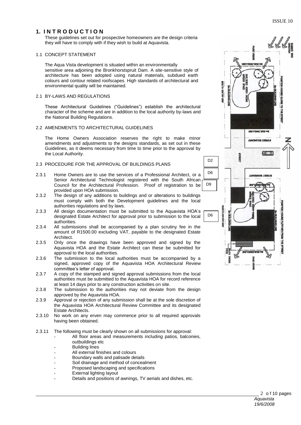## **1. I N T R O D U C T I O N**

These guidelines set out for prospective homeowners are the design criteria they will have to comply with if they wish to build at Aquavista.

#### 1.1 CONCEPT STATEMENT

The Aqua Vista development is situated within an environmentally sensitive area adjoining the Bronkhorstspruit Dam. A site-sensitive style of architecture has been adopted using natural materials, subdued earth colours and contour related roofscapes. High standards of architectural and environmental quality will be maintained.

#### 2.1 BY-LAWS AND REGULATIONS

These Architectural Guidelines ("Guidelines") establish the architectural character of the scheme and are in addition to the local authority by-laws and the National Building Regulations.

#### 2.2 AMENDMENTS TO ARCHITECTURAL GUIDELINES

The Home Owners Association reserves the right to make minor amendments and adjustments to the designs standards, as set out in these Guidelines, as it deems necessary from time to time prior to the approval by the Local Authority.

#### 2.3 PROCEDURE FOR THE APPROVAL OF BUILDINGS PLANS

- 2.3.1 Home Owners are to use the services of a Professional Architect, or a Senior Architectural Technologist registered with the South African Council for the Architectural Profession. Proof of registration to be provided upon HOA submission.
- 2.3.2 The design of any additions to buildings and or alterations to buildings must comply with both the Development guidelines and the local authorities regulations and by laws.
- 2.3.3 All design documentation must be submitted to the Aquavista HOA's designated Estate Architect for approval prior to submission to the local authorities.
- 2.3.4 All submissions shall be accompanied by a plan scrutiny fee in the amount of R1500.00 excluding VAT, payable to the designated Estate Architect.
- 2.3.5 Only once the drawings have been approved and signed by the Aquavista HOA and the Estate Architect can these be submitted for approval to the local authorities.
- 2.3.6 The submission to the local authorities must be accompanied by a signed, approved copy of the Aquavista HOA Architectural Review committee's letter of approval.
- 2.3.7 A copy of the stamped and signed approval submissions from the local authorities must be submitted to the Aquavista HOA for record reference at least 14 days prior to any construction activities on site.
- 2.3.8 The submission to the authorities may not deviate from the design approved by the Aquavista HOA.
- 2.3.9 Approval or rejection of any submission shall be at the sole discretion of the Aquavista HOA Architectural Review Committee and its designated Estate Architects.
- 2.3.10 No work on any erven may commence prior to all required approvals having been obtained.
- 2.3.11 The following must be clearly shown on all submissions for approval:
	- All floor areas and measurements including patios, balconies, outbuildings etc
	- **Building lines**
	- All external finishes and colours
	- Boundary walls and palisade details
	- Soil drainage and method of concealment
	- Proposed landscaping and specifications
	- External lighting layout
	- Details and positions of awnings, TV aerials and dishes, etc.

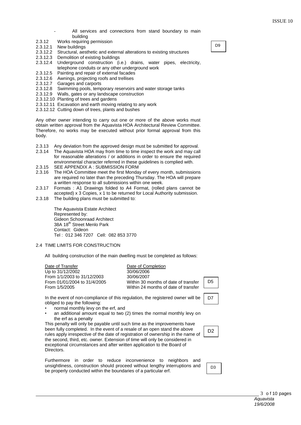- All services and connections from stand boundary to main building
- 2.3.12 Works requiring permission
- 2.3.12.1 New buildings
- 2.3.12.2 Structural, aesthetic and external alterations to existing structures
- 2.3.12.3 Demolition of existing buildings
- 2.3.12.4 Underground construction (i.e.) drains, water pipes, electricity, telephone conduits or any other underground work
- 2.3.12.5 Painting and repair of external facades
- 2.3.12.6 Awnings, projecting roofs and trellises
- 2.3.12.7 Garages and carports
- 2.3.12.8 Swimming pools, temporary reservoirs and water storage tanks<br>2.3.12.9 Walls, gates or any landscape construction
- Walls, gates or any landscape construction
- 2.3.12.10 Planting of trees and gardens
- 2.3.12.11 Excavation and earth moving relating to any work
- 2.3.12.12 Cutting down of trees, plants and bushes

Any other owner intending to carry out one or more of the above works must obtain written approval from the Aquavista HOA Architectural Review Committee. Therefore, no works may be executed without prior formal approval from this body.

- 2.3.13 Any deviation from the approved design must be submitted for approval.
- 2.3.14 The Aquavista HOA may from time to time inspect the work and may call for reasonable alterations / or additions in order to ensure the required environmental character referred in these guidelines is complied with.
- 2.3.15 SEE APPENDIX A : SUBMISSION FORM
- 2.3.16 The HOA Committee meet the first Monday of every month, submissions are required no later than the preceding Thursday. The HOA will prepare a written response to all submissions within one week.
- 2.3.17 Formats : A1 Drawings folded to A4 Format, (rolled plans cannot be accepted) x 3 Copies, x 1 to be returned for Local Authority submission.
- 2.3.18 The building plans must be submitted to:

The Aquavista Estate Architect Represented by: Gideon Schoonraad Architect 38A 18<sup>th</sup> Street Menlo Park Contact: Gideon Tel : 012 346 7207 Cell: 082 853 3770

## 2.4 TIME LIMITS FOR CONSTRUCTION

All building construction of the main dwelling must be completed as follows:

Date of Transfer Date of Completion Up to 31/12/2002 30/06/2006 From 1/1/2003 to 31/12/2003 30/06/2007 From 1/5/2005 Within 24 months of date of transfer

From 01/01/2004 to 31/4/2005 Within 30 months of date of transfer

In the event of non-compliance of this regulation, the registered owner will be obliged to pay the following:

- normal monthly levy on the erf, and
- an additional amount equal to two (2) times the normal monthly levy on the erf as a penalty

This penalty will only be payable until such time as the improvements have been fully completed. In the event of a resale of an open stand the above rules apply irrespective of the date of registration of ownership in the name of the second, third, etc. owner. Extension of time will only be considered in exceptional circumstances and after written application to the Board of Directors.

Furthermore in order to reduce inconvenience to neighbors and unsightliness, construction should proceed without lengthy interruptions and be properly conducted within the boundaries of a particular erf.



D<sub>9</sub>



D3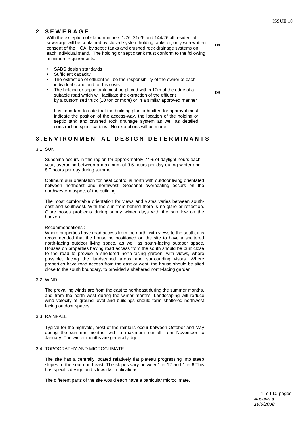## **2. S E W E R A G E**

With the exception of stand numbers 1/26, 21/26 and 144/26 all residential sewerage will be contained by closed system holding tanks or, only with written consent of the HOA, by septic tanks and crushed rock drainage systems on each individual stand. The holding or septic tank must conform to the following minimum requirements:

- SABS design standards
- Sufficient capacity
- The extraction of effluent will be the responsibility of the owner of each individual stand and for his costs
- The holding or septic tank must be placed within 10m of the edge of a suitable road which will facilitate the extraction of the effluent by a customised truck (10 ton or more) or in a similar approved manner

It is important to note that the building plan submitted for approval must indicate the position of the access-way, the location of the holding or septic tank and crushed rock drainage system as well as detailed construction specifications. No exceptions will be made."

## **3 . E N V I R O N M E N T A L D E S I G N D E T E R M I N A N T S**

#### 3.1 SUN

Sunshine occurs in this region for approximately 74% of daylight hours each year, averaging between a maximum of 9.5 hours per day during winter and 8.7 hours per day during summer.

Optimum sun orientation for heat control is north with outdoor living orientated between northeast and northwest. Seasonal overheating occurs on the northwestern aspect of the building.

The most comfortable orientation for views and vistas varies between southeast and southwest. With the sun from behind there is no glare or reflection. Glare poses problems during sunny winter days with the sun low on the horizon.

#### Recommendations :

Where properties have road access from the north, with views to the south, it is recommended that the house be positioned on the site to have a sheltered north-facing outdoor living space, as well as south-facing outdoor space. Houses on properties having road access from the south should be built close to the road to provide a sheltered north-facing garden, with views, where possible, facing the landscaped areas and surrounding vistas. Where properties have road access from the east or west, the house should be sited close to the south boundary, to provided a sheltered north-facing garden.

#### 3.2 WIND

The prevailing winds are from the east to northeast during the summer months, and from the north west during the winter months. Landscaping will reduce wind velocity at ground level and buildings should form sheltered northwest facing outdoor spaces.

#### 3.3 RAINFALL

Typical for the highveld, most of the rainfalls occur between October and May during the summer months, with a maximum rainfall from November to January. The winter months are generally dry.

#### 3.4 TOPOGRAPHY AND MICROCLIMATE

The site has a centrally located relatively flat plateau progressing into steep slopes to the south and east. The slopes vary between1 in 12 and 1 in 6. This has specific design and siteworks implications.

The different parts of the site would each have a particular microclimate.

D8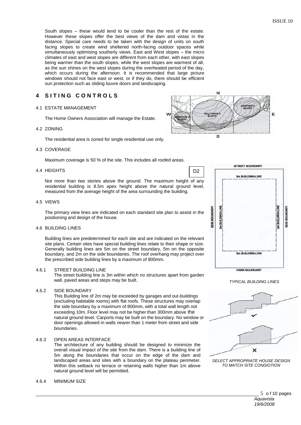South slopes – these would tend to be cooler than the rest of the estate. However these slopes offer the best views of the dam and vistas in the distance. Special care needs to be taken with the design of units on south facing slopes to create wind sheltered north-facing outdoor spaces while simultaneously optimising southerly views. East and West slopes – the micro climates of east and west slopes are different from each other, with east slopes being warmer than the south slopes, while the west slopes are warmest of all, as the sun shines on the west slopes during the overheated period of the day, which occurs during the afternoon. It is recommended that large picture windows should not face east or west, or if they do, there should be efficient sun protection such as sliding louvre doors and landscaping.

## **4 S I T I N G C O N T R O L S**

#### 4.1 ESTATE MANAGEMENT

The Home Owners Association will manage the Estate.

#### 4.2 ZONING

The residential area is zoned for single residential use only.

#### 4.3 COVERAGE

Maximum coverage is 50 % of the site. This includes all roofed areas.

#### 4.4 HEIGHTS

Not more than two stories above the ground. The maximum height of any residential building is 8.5m apex height above the natural ground level, measured from the average height of the area surrounding the building.

#### 4.5 VIEWS

The primary view lines are indicated on each standard site plan to assist in the positioning and design of the house.

#### 4.6 BUILDING LINES

Building lines are predetermined for each site and are indicated on the relevant site plans. Certain sites have special building lines relate to their shape or size. Generally building lines are 5m on the street boundary, 5m on the opposite boundary, and 2m on the side boundaries. The roof overhang may project over the prescribed side building lines by a maximum of 800mm.

#### 4.6.1 STREET BUILDING LINE

The street building line is 3m within which no structures apart from garden wall, paved areas and steps may be built.

#### 4.6.2 SIDE BOUNDARY

This Building line of 2m may be exceeded by garages and out-buildings (excluding habitable rooms) with flat roofs. These structures may overlap the side boundary by a maximum of 800mm, with a total wall length not exceeding 10m. Floor level may not be higher than 300mm above the natural ground level. Carports may be built on the boundary. No window or door openings allowed in walls *nearer* than 1 meter from street and side boundaries.

#### 4.6.3 OPEN AREAS INTERFACE

The architecture of any building should be designed to minimize the overall visual impact of the site from the dam. There is a building line of 5m along the boundaries that occur on the edge of the dam and landscaped areas and sites with a boundary on the plateau perimeter. Within this setback no terrace or retaining walls higher than 1m above natural ground level will be permitted.

#### 4.6.4 MINIMUM SIZE



D<sub>2</sub>







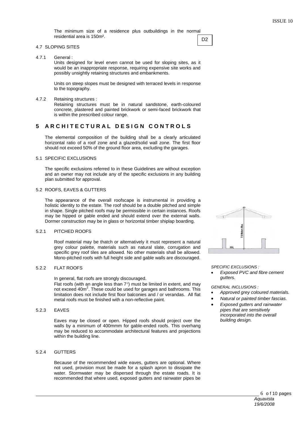The minimum size of a residence plus outbuildings in the normal residential area is 150m². D<sub>2</sub>

#### 4.7 SLOPING SITES

4.7.1 General :

Units designed for level erven cannot be used for sloping sites, as it would be an inappropriate response, requiring expensive site works and possibly unsightly retaining structures and embankments.

Units on steep slopes must be designed with terraced levels in response to the topography.

#### 4.7.2 Retaining structures :

Retaining structures must be in natural sandstone, earth-coloured concrete, plastered and painted brickwork or semi-faced brickwork that is within the prescribed colour range.

#### **5 A R C H I T E C T U R A L D E S I G N C O N T R O L S**

The elemental composition of the building shall be a clearly articulated horizontal ratio of a roof zone and a glazed/solid wall zone. The first floor should not exceed 50% of the ground floor area, excluding the garages.

#### 5.1 SPECIFIC EXCLUSIONS

The specific exclusions referred to in these Guidelines are without exception and an owner may not include any of the specific exclusions in any building plan submitted for approval.

#### 5.2 ROOFS, EAVES & GUTTERS

The appearance of the overall roofscape is instrumental in providing a holistic identity to the estate. The roof should be a double pitched and simple in shape. Single pitched roofs may be permissible in certain instances. Roofs may be hipped or gable ended and should extend over the external walls. Dormer construction may be in glass or horizontal timber shiplap boarding.

#### 5.2.1 PITCHED ROOFS

Roof material may be thatch or alternatively it must represent a natural grey colour palette, materials such as natural slate, corrugation and specific grey roof tiles are allowed. No other materials shall be allowed. Mono-pitched roofs with full height side and gable walls are discouraged.

#### 5.2.2 FLAT ROOFS

In general, flat roofs are strongly discouraged.

Flat roofs (with an angle less than  $7^\circ$ ) must be limited in extent, and may not exceed 40m<sup>2</sup>. These could be used for garages and bathrooms. This limitation does not include first floor balconies and / or verandas. All flat metal roofs must be finished with a non-reflective paint.

#### 5.2.3 EAVES

Eaves may be closed or open. Hipped roofs should project over the walls by a minimum of 400mmm for gable-ended roofs. This overhang may be reduced to accommodate architectural features and projections within the building line.

#### 5.2.4 GUTTERS

Because of the recommended wide eaves, gutters are optional. Where not used, provision must be made for a splash apron to dissipate the water. Stormwater may be dispersed through the estate roads. It is recommended that where used, exposed gutters and rainwater pipes be



*SPECIFIC EXCLUSIONS :*

 *Exposed PVC and fibre cement gutters.*

*GENERAL INCLUSIONS :*

- *Approved grey coloured materials.*
- *Natural or painted timber fascias.*
- *Exposed gutters and rainwater pipes that are sensitively incorporated into the overall building design.*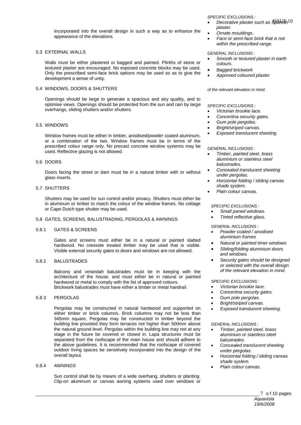incorporated into the overall design in such a way as to enhance the appearance of the elevations.

#### 5.3 EXTERNAL WALLS

Walls must be either plastered or bagged and painted. Plinths of stone or textured plaster are encouraged. No exposed concrete blocks may be used. Only the prescribed semi-face brick options may be used so as to give the development a sense of unity.

#### 5.4 WINDOWS, DOORS & SHUTTERS

Openings should be large to generate a spacious and airy quality, and to optimise views. Openings should be protected from the sun and rain by large overhangs, sliding shutters and/or shutters.

#### 5.5 WINDOWS

Window frames must be either in timber, anodised/powder coated aluminum, or a combination of the two. Window frames must be in terms of the prescribed colour range only. No precast concrete window systems may be used. Reflective glazing is not allowed.

#### 5.6 DOORS

Doors facing the street or dam must be in a natural timber with or without glass inserts.

#### 5.7 SHUTTERS

Shutters may be used for sun control and/or privacy. Shutters must either be in aluminum or timber to match the colour of the window frames. No cottage or Cape Dutch type shutter may be used.

#### 5.8 GATES, SCREENS, BALUSTRADING, PERGOLAS & AWNINGS

#### 5.8.1 GATES & SCREENS

Gates and screens must either be in a natural or painted slatted hardwood. No creosote treated timber may be used that is visible. Visible external security gates to doors and windows are not allowed.

#### 5.8.2 BALUSTRADES

Balcony and verandah balustrades must be in keeping with the architecture of the house, and must either be in natural or painted hardwood or metal to comply with the list of approved colours. Brickwork balustrades must have either a timber or metal handrail.

#### 5.8.3 PERGOLAS

Pergolas may be constructed in natural hardwood and supported on either timber or brick columns. Brick columns may not be less than 345mm square. Pergolas may be constructed in timber beyond the building line provided they form terraces not higher than 500mm above the natural ground level. Pergolas within the building line may not at any stage in the future be covered or closed in. Lapa structures must be separated from the roofscape of the main house and should adhere to the above guidelines. It is recommended that the roofscape of covered outdoor living spaces be sensitively incorporated into the design of the overall layout.

#### 5.8.4 AWNINGS

Sun control shall be by means of a wide overhang, shutters or planting. Clip-on aluminum or canvas awning systems used over windows or *SPECIFIC EXCLUSIONS :*

- $\bullet$  *Decorative plaster such as*  $\frac{10}{2}$ *hish*  $10$ *plaster.*
- *Ornate mouldings.*
- *Face or semi-face brick that is not within the prescribed range.*

#### *GENERAL INCLUSIONS :*

- *Smooth or textured plaster in earth colours.*
- *Bagged brickwork*
- *Approved coloured plaster*

#### *of the relevant elevation in mind.*

*SPECIFIC EXCLUSIONS :*

- *Victorian brookie lace.*
- *Concertina security gates.*
- *Gum pole pergolas.*
- *Bright/striped canvas.*
- *Exposed translucent sheeting.*

#### *GENERAL INCLUSIONS :*

- *Timber, painted steel, brass aluminium or stainless steel balustrades.*
- *Concealed translucent sheeting under pergolas.*
- *Horizontal folding / sliding canvas shade system.*
- *Plain colour canvas.*

#### *SPECIFIC EXCLUSIONS :*

- *Small paned windows.*
- *Tinted reflective glass.*

#### *GENERAL INCLUSIONS :*

- *Powder coated / anodised aluminium frames*
- *Natural or painted timer windows*
- *Sliding/folding aluminium doors and windows.*
- *Security gates should be designed or selected with the overall design of the relevant elevation in mind.*

#### *SPECIFIC EXCLUSIONS :*

- *Victorian brookie lace.*
- *Concertina security gates.*
- *Gum pole pergolas.*
- *Bright/striped canvas.*
- *Exposed translucent sheeting.*

#### *GENERAL INCLUSIONS :*

- *Timber, painted steel, brass aluminium or stainless steel balustrades.*
- *Concealed translucent sheeting under pergolas.*
- *Horizontal folding / sliding canvas shade system.*
- *Plain colour canvas.*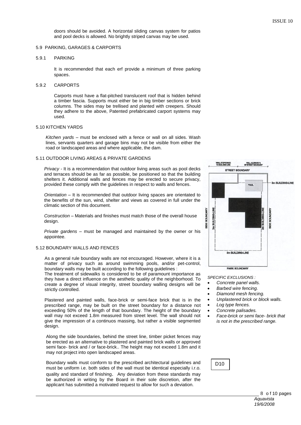doors should be avoided. A horizontal sliding canvas system for patios and pool decks is allowed. No brightly striped canvas may be used.

#### 5.9 PARKING, GARAGES & CARPORTS

#### 5.9.1 PARKING

It is recommended that each erf provide a minimum of three parking spaces.

#### 5.9.2 CARPORTS

Carports must have a flat-pitched translucent roof that is hidden behind a timber fascia. Supports must either be in big timber sections or brick columns. The sides may be trellised and planted with creepers. Should they adhere to the above, Patented prefabricated carport systems may used.

#### 5.10 KITCHEN YARDS

*Kitchen yards –* must be enclosed with a fence or wall on all sides. Wash lines, servants quarters and garage bins may not be visible from either the road or landscaped areas and where applicable, the dam.

#### 5.11 OUTDOOR LIVING AREAS & PRIVATE GARDENS

*Privacy -* It is a recommendation that outdoor living areas such as pool decks and terraces should be as far as possible, be positioned so that the building shelters it. Additional walls and fences may be erected to secure privacy, provided these comply with the guidelines in respect to walls and fences.

*Orientation –* It is recommended that outdoor living spaces are orientated to the benefits of the sun, wind, shelter and views as covered in full under the climatic section of this document.

*Construction –* Materials and finishes must match those of the overall house design.

*Private gardens –* must be managed and maintained by the owner or his appointee.

#### 5.12 BOUNDARY WALLS AND FENCES

As a general rule boundary walls are not encouraged. However, where it is a matter of privacy such as around swimming pools, and/or pet-control, boundary walls may be built according to the following quidelines :

The treatment of sidewalks is considered to be of paramount importance as they have a direct influence on the aesthetic quality of the neighborhood. To create a degree of visual integrity, street boundary walling designs will be strictly controlled.

Plastered and painted walls, face-brick or semi-face brick that is in the prescribed range, may be built on the street boundary for a distance not exceeding 50% of the length of that boundary. The height of the boundary wall may not exceed 1.8m measured from street level. The wall should not give the impression of a continuos massing, but rather a visible segmented design.

Along the side boundaries, behind the street line, timber picket fences may be erected as an alternative to plastered and painted brick walls or approved semi face- brick and / or face-brick.. The height may not exceed 1.8m and it may not project into open landscaped areas.

Boundary walls must conform to the prescribed architectural guidelines and must be uniform i.e. both sides of the wall must be identical especially i.r.o. quality and standard of finishing. Any deviation from these standards may be authorized in writing by the Board in their sole discretion, after the applicant has submitted a motivated request to allow for such a deviation.



*SPECIFIC EXCLUSIONS :*

- *Concrete panel walls.*
- *Barbed wire fencing.*
- *Diamond mesh fencing.*
- *Unplastered brick or block walls.*
- *Log type fences.*
- 
- *Concrete palisades.*
- *Face-brick or semi face- brick that is not in the prescribed range.*

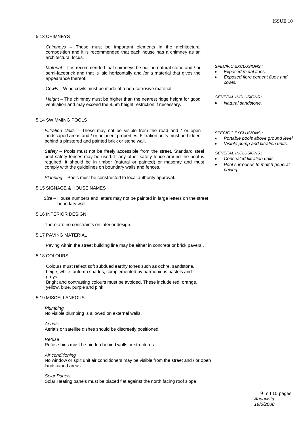#### 5.13 CHIMNEYS

*Chimneys –* These must be important elements in the architectural composition and it is recommended that each house has a chimney as an architectural focus.

*Material –* It is recommended that chimneys be built in natural stone and / or semi-facebrick and that is laid horizontally and /or a material that gives the appearance thereof.

*Cowls –* Wind cowls must be made of a non-corrosive material.

*Height –* The chimney must be higher than the nearest ridge height for good ventilation and may exceed the 8.5m height restriction if necessary.

#### 5.14 SWIMMING POOLS

*Filtration Units –* These may not be visible from the road and / or open landscaped areas and / or adjacent properties. Filtration units must be hidden behind a plastered and painted brick or stone wall.

*Safety –* Pools must not be freely accessible from the street. Standard steel pool safety fences may be used. If any other safety fence around the pool is required, it should be in timber (natural or painted) or masonry and must comply with the guidelines on boundary walls and fences.

*Planning –* Pools must be constructed to local authority approval.

#### 5.15 SIGNAGE & HOUSE NAMES

 *Size –* House numbers and letters may not be painted in large letters on the street boundary wall.

#### 5.16 INTERIOR DESIGN

There are no constraints on interior design.

#### 5.17 PAVING MATERIAL

Paving within the street building line may be either in concrete or brick pavers .

#### 5.18 COLOURS

 Colours must reflect soft subdued earthy tones such as ochre, sandstone, beige, white, autumn shades, complemented by harmonious pastels and greys.

 Bright and contrasting colours must be avoided. These include red, orange, yellow, blue, purple and pink.

#### 5.19 MISCELLANEOUS

 *Plumbing* No visible plumbing is allowed on external walls.

 *Aerials* Aerials or satellite dishes should be discreetly positioned.

 *Refuse* Refuse bins must be hidden behind walls or structures.

 *Air conditioning* No window or split unit air conditioners may be visible from the street and / or open landscaped areas.

### *Solar Panels*

Solar Heating panels must be placed flat against the north facing roof slope

*SPECIFIC EXCLUSIONS :*

- *Exposed metal flues.*
- *Exposed fibre cement flues and cowls.*

*GENERAL INCLUSIONS :*

*Natural sandstone.*

*SPECIFIC EXCLUSIONS :*

- *Portable pools above ground level.*
- *Visible pump and filtration units.*

*GENERAL INCLUSIONS :*

- *Concealed filtration units.*
- *Pool surrounds to match general paving.*